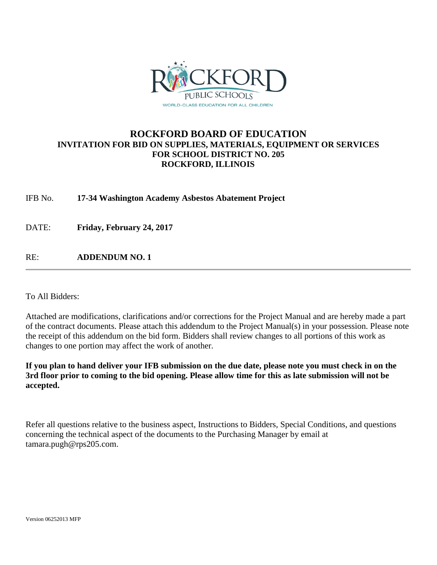

### **ROCKFORD BOARD OF EDUCATION INVITATION FOR BID ON SUPPLIES, MATERIALS, EQUIPMENT OR SERVICES FOR SCHOOL DISTRICT NO. 205 ROCKFORD, ILLINOIS**

IFB No. **17-34 Washington Academy Asbestos Abatement Project**

DATE: **Friday, February 24, 2017**

RE: **ADDENDUM NO. 1**

To All Bidders:

Attached are modifications, clarifications and/or corrections for the Project Manual and are hereby made a part of the contract documents. Please attach this addendum to the Project Manual(s) in your possession. Please note the receipt of this addendum on the bid form. Bidders shall review changes to all portions of this work as changes to one portion may affect the work of another.

**If you plan to hand deliver your IFB submission on the due date, please note you must check in on the 3rd floor prior to coming to the bid opening. Please allow time for this as late submission will not be accepted.**

Refer all questions relative to the business aspect, Instructions to Bidders, Special Conditions, and questions concerning the technical aspect of the documents to the Purchasing Manager by email at tamara.pugh@rps205.com.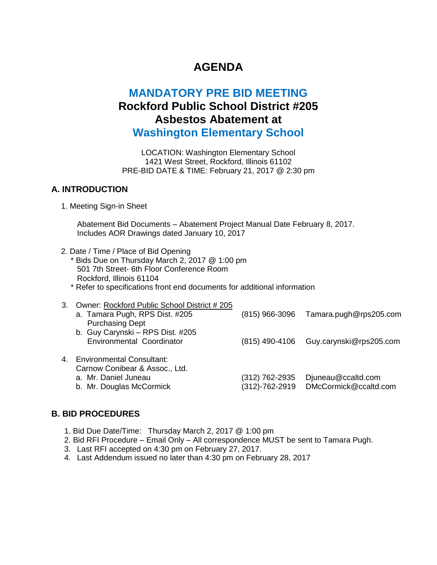# **AGENDA**

## **MANDATORY PRE BID MEETING Rockford Public School District #205 Asbestos Abatement at Washington Elementary School**

LOCATION: Washington Elementary School 1421 West Street, Rockford, Illinois 61102 PRE-BID DATE & TIME: February 21, 2017 @ 2:30 pm

#### **A. INTRODUCTION**

1. Meeting Sign-in Sheet

Abatement Bid Documents – Abatement Project Manual Date February 8, 2017. Includes AOR Drawings dated January 10, 2017

- 2. Date / Time / Place of Bid Opening \* Bids Due on Thursday March 2, 2017 @ 1:00 pm 501 7th Street- 6th Floor Conference Room Rockford, Illinois 61104 \* Refer to specifications front end documents for additional information
- 3. Owner: Rockford Public School District # 205 a. Tamara Pugh, RPS Dist. #205 Purchasing Dept b. Guy Carynski – RPS Dist. #205 Environmental Coordinator (815) 966-3096 (815) 490-4106 Guy.carynski@rps205.com Tamara.pugh@rps205.com 4. Environmental Consultant: Carnow Conibear & Assoc., Ltd. a. Mr. Daniel Juneau b. Mr. Douglas McCormick (312) 762-2935 (312)-762-2919 DMcCormick@ccaltd.com Djuneau@ccaltd.com

#### **B. BID PROCEDURES**

- 1. Bid Due Date/Time: Thursday March 2, 2017 @ 1:00 pm
- 2. Bid RFI Procedure Email Only All correspondence MUST be sent to Tamara Pugh.
- 3. Last RFI accepted on 4:30 pm on February 27, 2017.
- 4. Last Addendum issued no later than 4:30 pm on February 28, 2017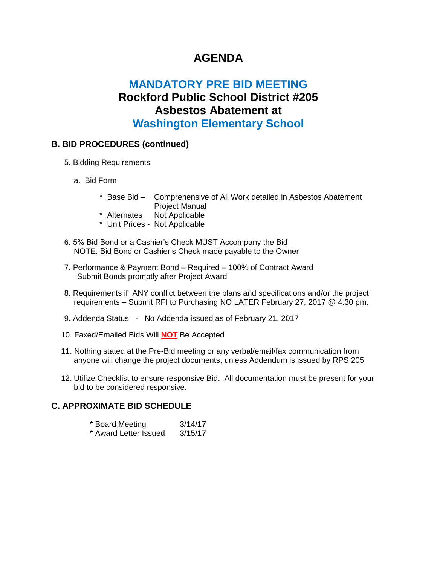## **AGENDA**

## **MANDATORY PRE BID MEETING Rockford Public School District #205 Asbestos Abatement at Washington Elementary School**

### **B. BID PROCEDURES (continued)**

- 5. Bidding Requirements
	- a. Bid Form
		- \* Base Bid Comprehensive of All Work detailed in Asbestos Abatement Project Manual
		- \* Alternates Not Applicable
		- \* Unit Prices Not Applicable
- 6. 5% Bid Bond or a Cashier's Check MUST Accompany the Bid NOTE: Bid Bond or Cashier's Check made payable to the Owner
- 7. Performance & Payment Bond Required 100% of Contract Award Submit Bonds promptly after Project Award
- 8. Requirements if ANY conflict between the plans and specifications and/or the project requirements – Submit RFI to Purchasing NO LATER February 27, 2017 @ 4:30 pm.
- 9. Addenda Status No Addenda issued as of February 21, 2017
- 10. Faxed/Emailed Bids Will **NOT** Be Accepted
- 11. Nothing stated at the Pre-Bid meeting or any verbal/email/fax communication from anyone will change the project documents, unless Addendum is issued by RPS 205
- 12. Utilize Checklist to ensure responsive Bid. All documentation must be present for your bid to be considered responsive.

#### **C. APPROXIMATE BID SCHEDULE**

|  | * Board Meeting |  | 3/14/17 |
|--|-----------------|--|---------|
|  |                 |  |         |

\* Award Letter Issued 3/15/17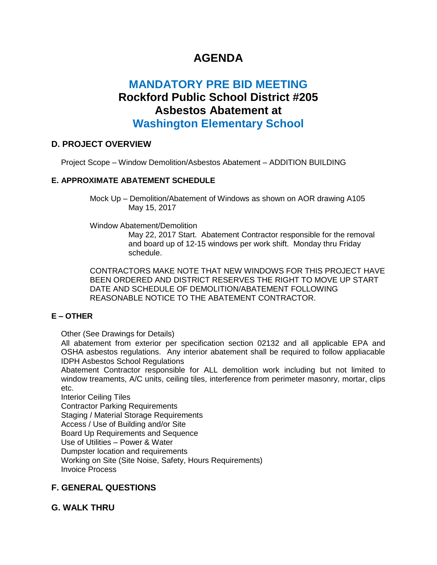# **AGENDA**

## **MANDATORY PRE BID MEETING Rockford Public School District #205 Asbestos Abatement at Washington Elementary School**

### **D. PROJECT OVERVIEW**

Project Scope – Window Demolition/Asbestos Abatement – ADDITION BUILDING

### **E. APPROXIMATE ABATEMENT SCHEDULE**

Mock Up – Demolition/Abatement of Windows as shown on AOR drawing A105 May 15, 2017

Window Abatement/Demolition

May 22, 2017 Start. Abatement Contractor responsible for the removal and board up of 12-15 windows per work shift. Monday thru Friday schedule.

CONTRACTORS MAKE NOTE THAT NEW WINDOWS FOR THIS PROJECT HAVE BEEN ORDERED AND DISTRICT RESERVES THE RIGHT TO MOVE UP START DATE AND SCHEDULE OF DEMOLITION/ABATEMENT FOLLOWING REASONABLE NOTICE TO THE ABATEMENT CONTRACTOR.

### **E – OTHER**

Other (See Drawings for Details)

All abatement from exterior per specification section 02132 and all applicable EPA and OSHA asbestos regulations. Any interior abatement shall be required to follow appliacable IDPH Asbestos School Regulations

Abatement Contractor responsible for ALL demolition work including but not limited to window treaments, A/C units, ceiling tiles, interference from perimeter masonry, mortar, clips etc.

Interior Ceiling Tiles Contractor Parking Requirements Staging / Material Storage Requirements Access / Use of Building and/or Site Board Up Requirements and Sequence Use of Utilities – Power & Water Dumpster location and requirements Working on Site (Site Noise, Safety, Hours Requirements) Invoice Process

## **F. GENERAL QUESTIONS**

## **G. WALK THRU**